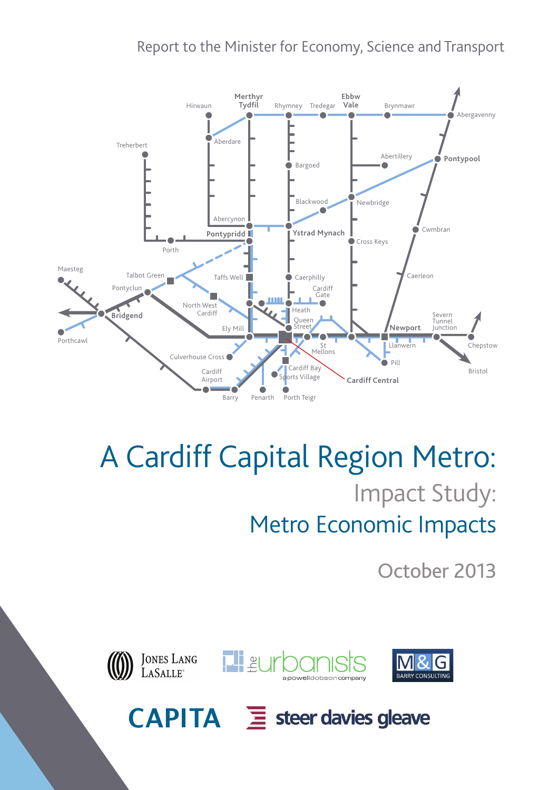### Report to the Minister for Economy, Science and Transport



# A Cardiff Capital Region Metro: Impact Study: Metro Economic Impacts

October 2013



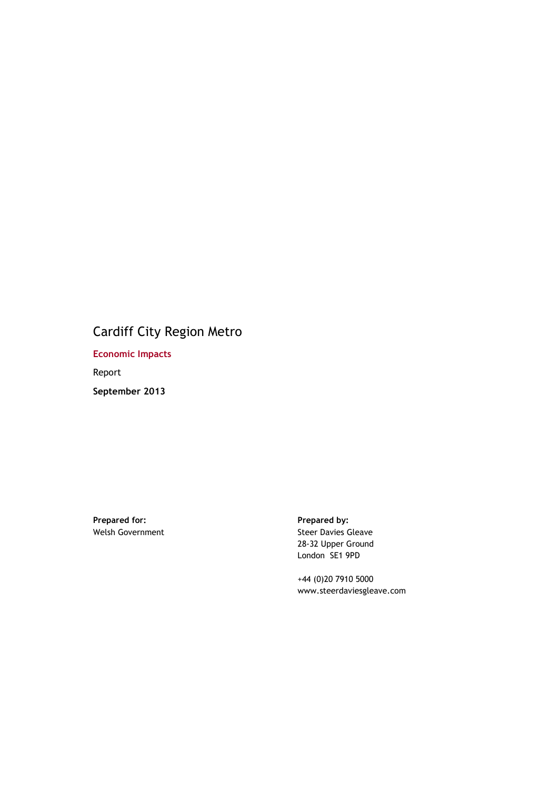### Cardiff City Region Metro

**Economic Impacts** 

Report

**September 2013** 

**Prepared for: Prepared by:** Welsh Government

Steer Davies Gleave 28-32 Upper Ground London SE1 9PD

+44 (0)20 7910 5000 www.steerdaviesgleave.com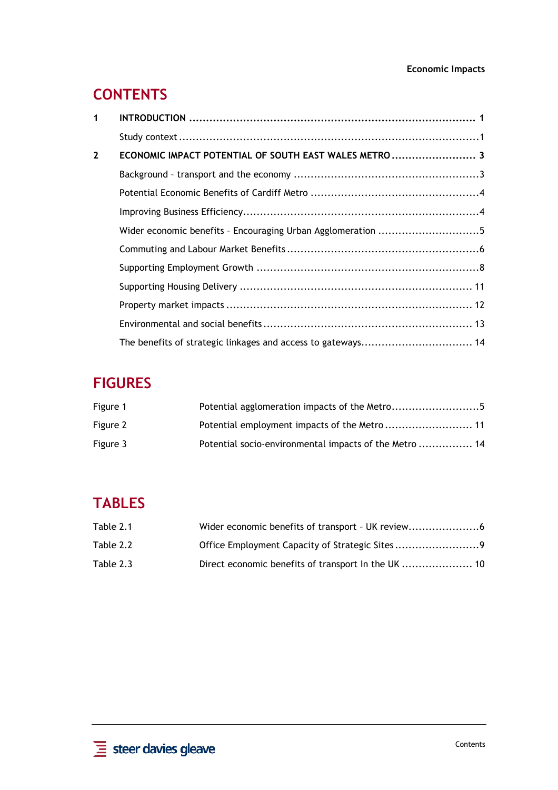#### **Economic Impacts**

# **CONTENTS**

| 1            |                                                              |  |
|--------------|--------------------------------------------------------------|--|
|              |                                                              |  |
| $\mathbf{2}$ | ECONOMIC IMPACT POTENTIAL OF SOUTH EAST WALES METRO  3       |  |
|              |                                                              |  |
|              |                                                              |  |
|              |                                                              |  |
|              |                                                              |  |
|              |                                                              |  |
|              |                                                              |  |
|              |                                                              |  |
|              |                                                              |  |
|              |                                                              |  |
|              | The benefits of strategic linkages and access to gateways 14 |  |

# **FIGURES**

| Figure 1 | Potential agglomeration impacts of the Metro5          |
|----------|--------------------------------------------------------|
| Figure 2 |                                                        |
| Figure 3 | Potential socio-environmental impacts of the Metro  14 |

## **TABLES**

| Table 2.1 |                                                |
|-----------|------------------------------------------------|
| Table 2.2 | Office Employment Capacity of Strategic Sites9 |
| Table 2.3 |                                                |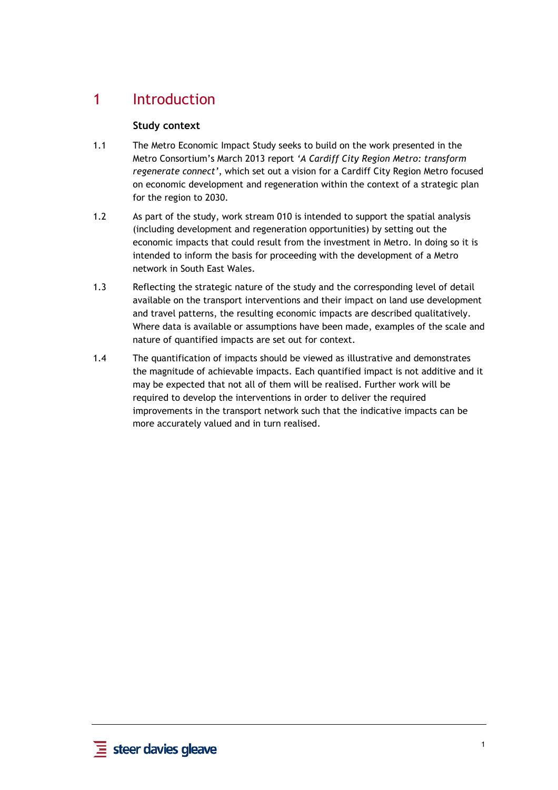### 1 Introduction

#### **Study context**

- 1.1 The Metro Economic Impact Study seeks to build on the work presented in the Metro Consortium's March 2013 report *'A Cardiff City Region Metro: transform regenerate connect'*, which set out a vision for a Cardiff City Region Metro focused on economic development and regeneration within the context of a strategic plan for the region to 2030.
- 1.2 As part of the study, work stream 010 is intended to support the spatial analysis (including development and regeneration opportunities) by setting out the economic impacts that could result from the investment in Metro. In doing so it is intended to inform the basis for proceeding with the development of a Metro network in South East Wales.
- 1.3 Reflecting the strategic nature of the study and the corresponding level of detail available on the transport interventions and their impact on land use development and travel patterns, the resulting economic impacts are described qualitatively. Where data is available or assumptions have been made, examples of the scale and nature of quantified impacts are set out for context.
- 1.4 The quantification of impacts should be viewed as illustrative and demonstrates the magnitude of achievable impacts. Each quantified impact is not additive and it may be expected that not all of them will be realised. Further work will be required to develop the interventions in order to deliver the required improvements in the transport network such that the indicative impacts can be more accurately valued and in turn realised.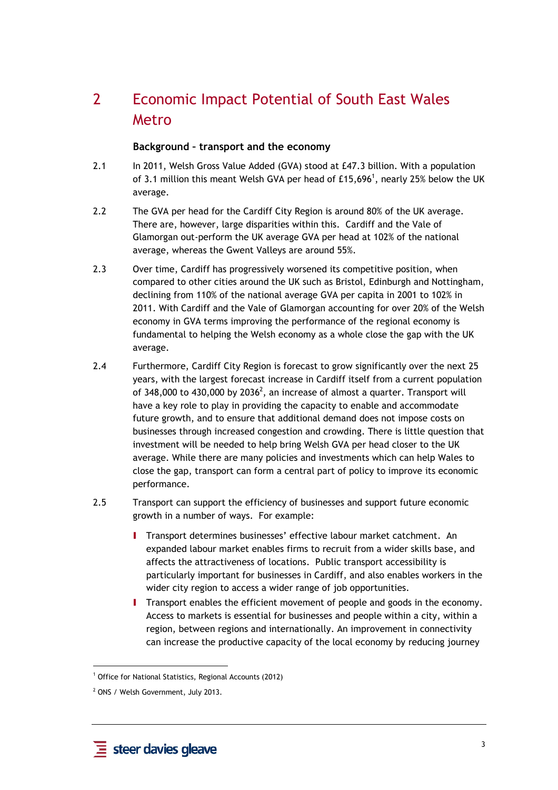# 2 Economic Impact Potential of South East Wales Metro

#### **Background – transport and the economy**

- 2.1 In 2011, Welsh Gross Value Added (GVA) stood at £47.3 billion. With a population of 3.1 million this meant Welsh GVA per head of £15,696<sup>1</sup>, nearly 25% below the UK average.
- 2.2 The GVA per head for the Cardiff City Region is around 80% of the UK average. There are, however, large disparities within this. Cardiff and the Vale of Glamorgan out-perform the UK average GVA per head at 102% of the national average, whereas the Gwent Valleys are around 55%.
- 2.3 Over time, Cardiff has progressively worsened its competitive position, when compared to other cities around the UK such as Bristol, Edinburgh and Nottingham, declining from 110% of the national average GVA per capita in 2001 to 102% in 2011. With Cardiff and the Vale of Glamorgan accounting for over 20% of the Welsh economy in GVA terms improving the performance of the regional economy is fundamental to helping the Welsh economy as a whole close the gap with the UK average.
- 2.4 Furthermore, Cardiff City Region is forecast to grow significantly over the next 25 years, with the largest forecast increase in Cardiff itself from a current population of 348,000 to 430,000 by 2036<sup>2</sup>, an increase of almost a quarter. Transport will have a key role to play in providing the capacity to enable and accommodate future growth, and to ensure that additional demand does not impose costs on businesses through increased congestion and crowding. There is little question that investment will be needed to help bring Welsh GVA per head closer to the UK average. While there are many policies and investments which can help Wales to close the gap, transport can form a central part of policy to improve its economic performance.
- 2.5 Transport can support the efficiency of businesses and support future economic growth in a number of ways. For example:
	- **I** Transport determines businesses' effective labour market catchment. An expanded labour market enables firms to recruit from a wider skills base, and affects the attractiveness of locations. Public transport accessibility is particularly important for businesses in Cardiff, and also enables workers in the wider city region to access a wider range of job opportunities.
	- I Transport enables the efficient movement of people and goods in the economy. Access to markets is essential for businesses and people within a city, within a region, between regions and internationally. An improvement in connectivity can increase the productive capacity of the local economy by reducing journey

 $\overline{a}$ 

<sup>&</sup>lt;sup>1</sup> Office for National Statistics, Regional Accounts (2012)

<sup>&</sup>lt;sup>2</sup> ONS / Welsh Government, July 2013.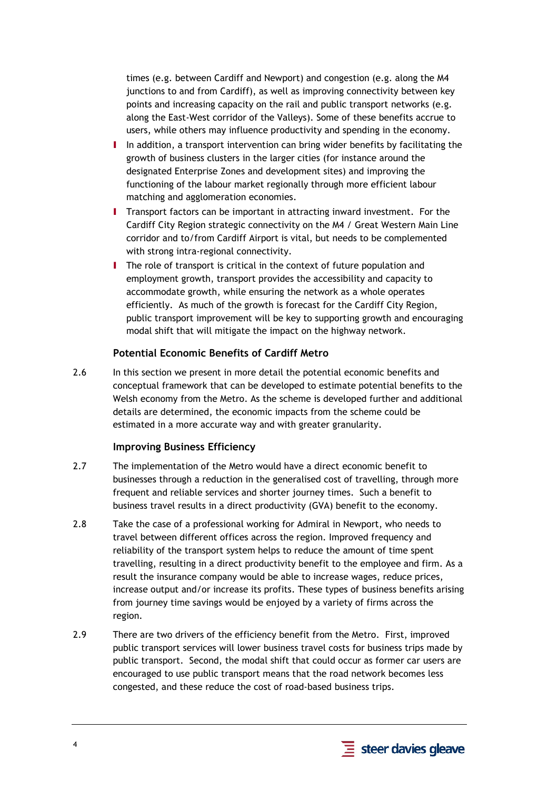times (e.g. between Cardiff and Newport) and congestion (e.g. along the M4 junctions to and from Cardiff), as well as improving connectivity between key points and increasing capacity on the rail and public transport networks (e.g. along the East-West corridor of the Valleys). Some of these benefits accrue to users, while others may influence productivity and spending in the economy.

- I In addition, a transport intervention can bring wider benefits by facilitating the growth of business clusters in the larger cities (for instance around the designated Enterprise Zones and development sites) and improving the functioning of the labour market regionally through more efficient labour matching and agglomeration economies.
- I Transport factors can be important in attracting inward investment. For the Cardiff City Region strategic connectivity on the M4 / Great Western Main Line corridor and to/from Cardiff Airport is vital, but needs to be complemented with strong intra-regional connectivity.
- I The role of transport is critical in the context of future population and employment growth, transport provides the accessibility and capacity to accommodate growth, while ensuring the network as a whole operates efficiently. As much of the growth is forecast for the Cardiff City Region, public transport improvement will be key to supporting growth and encouraging modal shift that will mitigate the impact on the highway network.

#### **Potential Economic Benefits of Cardiff Metro**

2.6 In this section we present in more detail the potential economic benefits and conceptual framework that can be developed to estimate potential benefits to the Welsh economy from the Metro. As the scheme is developed further and additional details are determined, the economic impacts from the scheme could be estimated in a more accurate way and with greater granularity.

#### **Improving Business Efficiency**

- 2.7 The implementation of the Metro would have a direct economic benefit to businesses through a reduction in the generalised cost of travelling, through more frequent and reliable services and shorter journey times. Such a benefit to business travel results in a direct productivity (GVA) benefit to the economy.
- 2.8 Take the case of a professional working for Admiral in Newport, who needs to travel between different offices across the region. Improved frequency and reliability of the transport system helps to reduce the amount of time spent travelling, resulting in a direct productivity benefit to the employee and firm. As a result the insurance company would be able to increase wages, reduce prices, increase output and/or increase its profits. These types of business benefits arising from journey time savings would be enjoyed by a variety of firms across the region.
- 2.9 There are two drivers of the efficiency benefit from the Metro. First, improved public transport services will lower business travel costs for business trips made by public transport. Second, the modal shift that could occur as former car users are encouraged to use public transport means that the road network becomes less congested, and these reduce the cost of road-based business trips.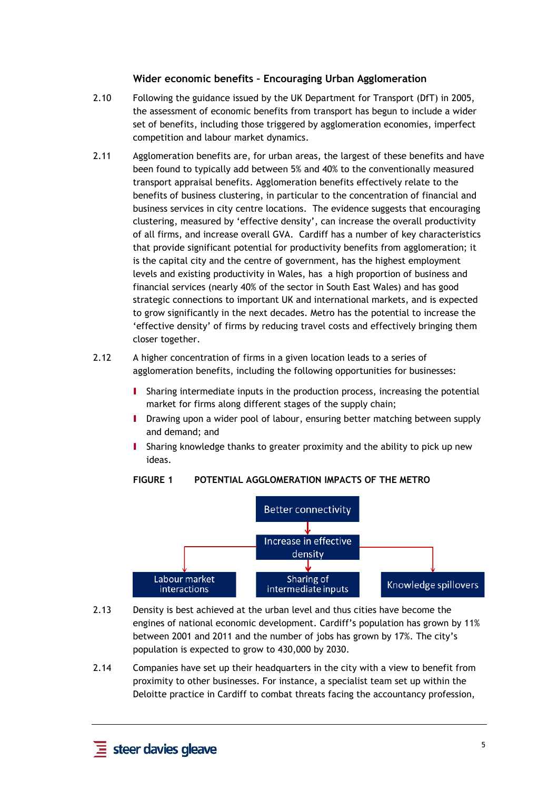#### **Wider economic benefits – Encouraging Urban Agglomeration**

- 2.10 Following the guidance issued by the UK Department for Transport (DfT) in 2005, the assessment of economic benefits from transport has begun to include a wider set of benefits, including those triggered by agglomeration economies, imperfect competition and labour market dynamics.
- 2.11 Agglomeration benefits are, for urban areas, the largest of these benefits and have been found to typically add between 5% and 40% to the conventionally measured transport appraisal benefits. Agglomeration benefits effectively relate to the benefits of business clustering, in particular to the concentration of financial and business services in city centre locations. The evidence suggests that encouraging clustering, measured by 'effective density', can increase the overall productivity of all firms, and increase overall GVA. Cardiff has a number of key characteristics that provide significant potential for productivity benefits from agglomeration; it is the capital city and the centre of government, has the highest employment levels and existing productivity in Wales, has a high proportion of business and financial services (nearly 40% of the sector in South East Wales) and has good strategic connections to important UK and international markets, and is expected to grow significantly in the next decades. Metro has the potential to increase the 'effective density' of firms by reducing travel costs and effectively bringing them closer together.
- 2.12 A higher concentration of firms in a given location leads to a series of agglomeration benefits, including the following opportunities for businesses:
	- I Sharing intermediate inputs in the production process, increasing the potential market for firms along different stages of the supply chain;
	- I Drawing upon a wider pool of labour, ensuring better matching between supply and demand; and
	- I Sharing knowledge thanks to greater proximity and the ability to pick up new ideas.

#### **FIGURE 1 POTENTIAL AGGLOMERATION IMPACTS OF THE METRO**



- 2.13 Density is best achieved at the urban level and thus cities have become the engines of national economic development. Cardiff's population has grown by 11% between 2001 and 2011 and the number of jobs has grown by 17%. The city's population is expected to grow to 430,000 by 2030.
- 2.14 Companies have set up their headquarters in the city with a view to benefit from proximity to other businesses. For instance, a specialist team set up within the Deloitte practice in Cardiff to combat threats facing the accountancy profession,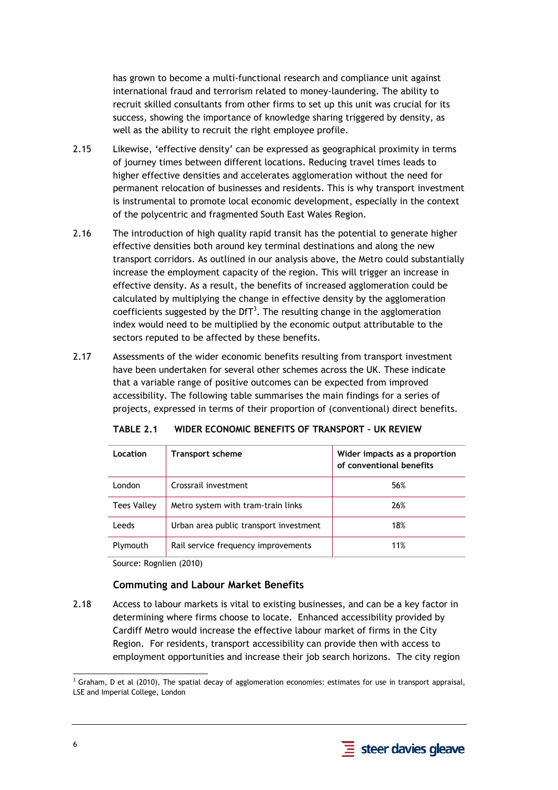has grown to become a multi-functional research and compliance unit against international fraud and terrorism related to money-laundering. The ability to recruit skilled consultants from other firms to set up this unit was crucial for its success, showing the importance of knowledge sharing triggered by density, as well as the ability to recruit the right employee profile.

- 2.15 Likewise, 'effective density' can be expressed as geographical proximity in terms of journey times between different locations. Reducing travel times leads to higher effective densities and accelerates agglomeration without the need for permanent relocation of businesses and residents. This is why transport investment is instrumental to promote local economic development, especially in the context of the polycentric and fragmented South East Wales Region.
- 2.16 The introduction of high quality rapid transit has the potential to generate higher effective densities both around key terminal destinations and along the new transport corridors. As outlined in our analysis above, the Metro could substantially increase the employment capacity of the region. This will trigger an increase in effective density. As a result, the benefits of increased agglomeration could be calculated by multiplying the change in effective density by the agglomeration coefficients suggested by the DfT<sup>3</sup>. The resulting change in the agglomeration index would need to be multiplied by the economic output attributable to the sectors reputed to be affected by these benefits.
- 2.17 Assessments of the wider economic benefits resulting from transport investment have been undertaken for several other schemes across the UK. These indicate that a variable range of positive outcomes can be expected from improved accessibility. The following table summarises the main findings for a series of projects, expressed in terms of their proportion of (conventional) direct benefits.

| Location           | <b>Transport scheme</b>                | Wider impacts as a proportion<br>of conventional benefits |
|--------------------|----------------------------------------|-----------------------------------------------------------|
| London             | Crossrail investment                   | 56%                                                       |
| <b>Tees Valley</b> | Metro system with tram-train links     | 26%                                                       |
| Leeds              | Urban area public transport investment | 18%                                                       |
| Plymouth           | Rail service frequency improvements    | 11%                                                       |

**TABLE 2.1 WIDER ECONOMIC BENEFITS OF TRANSPORT – UK REVIEW** 

Source: Rognlien (2010)

#### **Commuting and Labour Market Benefits**

2.18 Access to labour markets is vital to existing businesses, and can be a key factor in determining where firms choose to locate. Enhanced accessibility provided by Cardiff Metro would increase the effective labour market of firms in the City Region. For residents, transport accessibility can provide then with access to employment opportunities and increase their job search horizons. The city region



 3 Graham, D et al (2010), The spatial decay of agglomeration economies: estimates for use in transport appraisal, LSE and Imperial College, London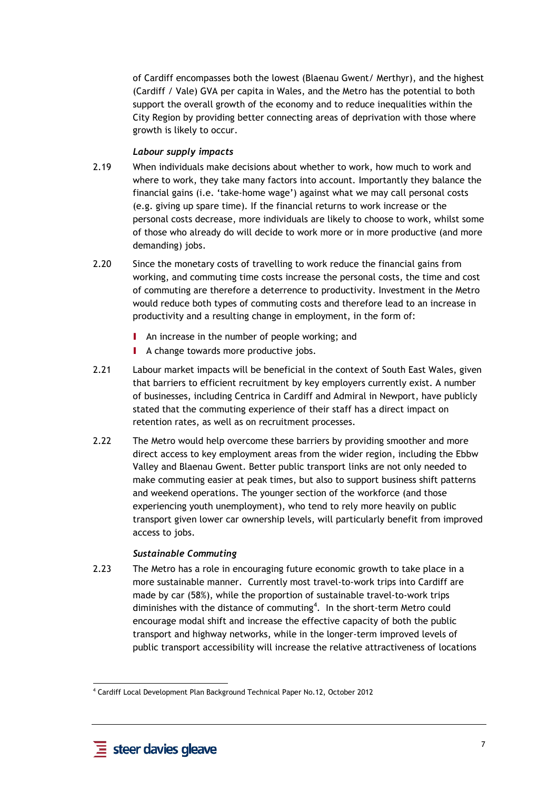of Cardiff encompasses both the lowest (Blaenau Gwent/ Merthyr), and the highest (Cardiff / Vale) GVA per capita in Wales, and the Metro has the potential to both support the overall growth of the economy and to reduce inequalities within the City Region by providing better connecting areas of deprivation with those where growth is likely to occur.

#### *Labour supply impacts*

- 2.19 When individuals make decisions about whether to work, how much to work and where to work, they take many factors into account. Importantly they balance the financial gains (i.e. 'take-home wage') against what we may call personal costs (e.g. giving up spare time). If the financial returns to work increase or the personal costs decrease, more individuals are likely to choose to work, whilst some of those who already do will decide to work more or in more productive (and more demanding) jobs.
- 2.20 Since the monetary costs of travelling to work reduce the financial gains from working, and commuting time costs increase the personal costs, the time and cost of commuting are therefore a deterrence to productivity. Investment in the Metro would reduce both types of commuting costs and therefore lead to an increase in productivity and a resulting change in employment, in the form of:
	- **I** An increase in the number of people working; and
	- **I** A change towards more productive jobs.
- 2.21 Labour market impacts will be beneficial in the context of South East Wales, given that barriers to efficient recruitment by key employers currently exist. A number of businesses, including Centrica in Cardiff and Admiral in Newport, have publicly stated that the commuting experience of their staff has a direct impact on retention rates, as well as on recruitment processes.
- 2.22 The Metro would help overcome these barriers by providing smoother and more direct access to key employment areas from the wider region, including the Ebbw Valley and Blaenau Gwent. Better public transport links are not only needed to make commuting easier at peak times, but also to support business shift patterns and weekend operations. The younger section of the workforce (and those experiencing youth unemployment), who tend to rely more heavily on public transport given lower car ownership levels, will particularly benefit from improved access to jobs.

#### *Sustainable Commuting*

2.23 The Metro has a role in encouraging future economic growth to take place in a more sustainable manner. Currently most travel-to-work trips into Cardiff are made by car (58%), while the proportion of sustainable travel-to-work trips diminishes with the distance of commuting<sup>4</sup>. In the short-term Metro could encourage modal shift and increase the effective capacity of both the public transport and highway networks, while in the longer-term improved levels of public transport accessibility will increase the relative attractiveness of locations

 $\overline{a}$ 4 Cardiff Local Development Plan Background Technical Paper No.12, October 2012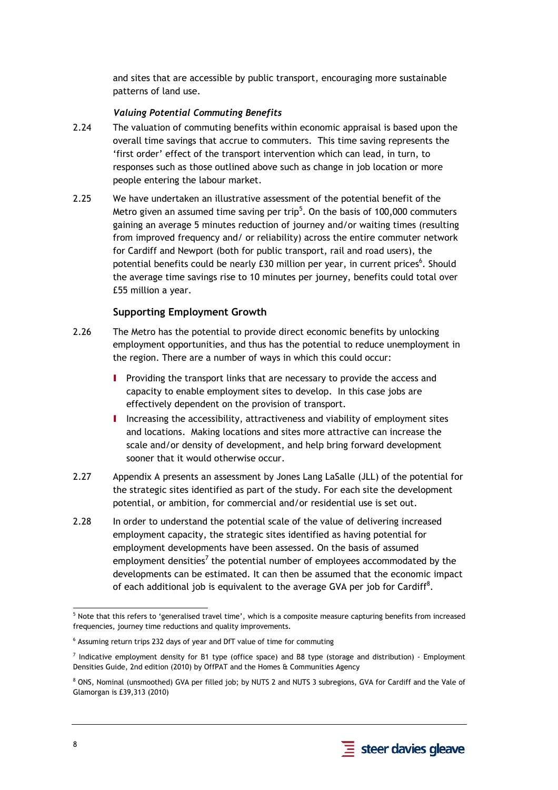and sites that are accessible by public transport, encouraging more sustainable patterns of land use.

#### *Valuing Potential Commuting Benefits*

- 2.24 The valuation of commuting benefits within economic appraisal is based upon the overall time savings that accrue to commuters. This time saving represents the 'first order' effect of the transport intervention which can lead, in turn, to responses such as those outlined above such as change in job location or more people entering the labour market.
- 2.25 We have undertaken an illustrative assessment of the potential benefit of the Metro given an assumed time saving per trip $^5$ . On the basis of 100,000 commuters gaining an average 5 minutes reduction of journey and/or waiting times (resulting from improved frequency and/ or reliability) across the entire commuter network for Cardiff and Newport (both for public transport, rail and road users), the potential benefits could be nearly £30 million per year, in current prices<sup>6</sup>. Should the average time savings rise to 10 minutes per journey, benefits could total over £55 million a year.

#### **Supporting Employment Growth**

- 2.26 The Metro has the potential to provide direct economic benefits by unlocking employment opportunities, and thus has the potential to reduce unemployment in the region. There are a number of ways in which this could occur:
	- **I** Providing the transport links that are necessary to provide the access and capacity to enable employment sites to develop. In this case jobs are effectively dependent on the provision of transport.
	- I Increasing the accessibility, attractiveness and viability of employment sites and locations. Making locations and sites more attractive can increase the scale and/or density of development, and help bring forward development sooner that it would otherwise occur.
- 2.27 Appendix A presents an assessment by Jones Lang LaSalle (JLL) of the potential for the strategic sites identified as part of the study. For each site the development potential, or ambition, for commercial and/or residential use is set out.
- 2.28 In order to understand the potential scale of the value of delivering increased employment capacity, the strategic sites identified as having potential for employment developments have been assessed. On the basis of assumed employment densities<sup>7</sup> the potential number of employees accommodated by the developments can be estimated. It can then be assumed that the economic impact of each additional job is equivalent to the average GVA per job for Cardiff $8$ .



<sup>-</sup><sup>5</sup> Note that this refers to 'generalised travel time', which is a composite measure capturing benefits from increased frequencies, journey time reductions and quality improvements.

 $<sup>6</sup>$  Assuming return trips 232 days of year and DfT value of time for commuting</sup>

<sup>&</sup>lt;sup>7</sup> Indicative employment density for B1 type (office space) and B8 type (storage and distribution) - Employment Densities Guide, 2nd edition (2010) by OffPAT and the Homes & Communities Agency

 $^8$  ONS, Nominal (unsmoothed) GVA per filled job; by NUTS 2 and NUTS 3 subregions, GVA for Cardiff and the Vale of Glamorgan is £39,313 (2010)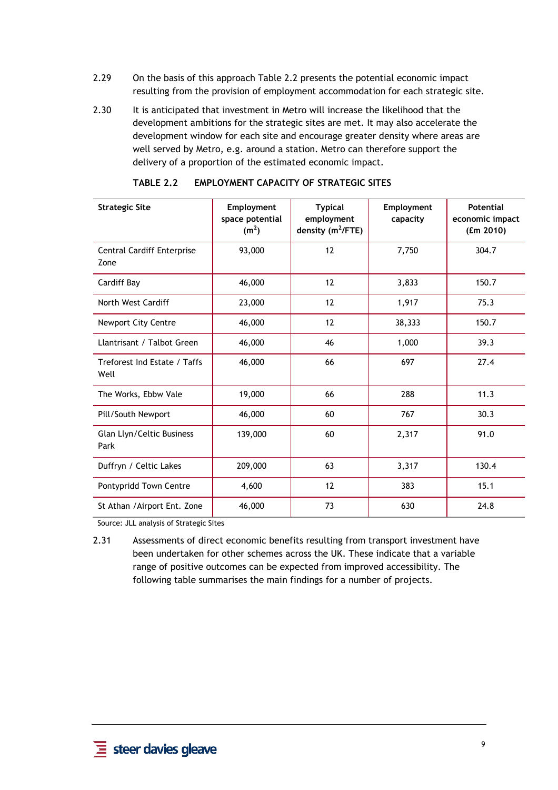- 2.29 On the basis of this approach Table 2.2 presents the potential economic impact resulting from the provision of employment accommodation for each strategic site.
- 2.30 It is anticipated that investment in Metro will increase the likelihood that the development ambitions for the strategic sites are met. It may also accelerate the development window for each site and encourage greater density where areas are well served by Metro, e.g. around a station. Metro can therefore support the delivery of a proportion of the estimated economic impact.

| <b>Strategic Site</b>                     | Employment<br>space potential<br>(m <sup>2</sup> ) | <b>Typical</b><br>employment<br>density (m <sup>2</sup> /FTE) | Employment<br>capacity | <b>Potential</b><br>economic impact<br>(fm 2010) |
|-------------------------------------------|----------------------------------------------------|---------------------------------------------------------------|------------------------|--------------------------------------------------|
| <b>Central Cardiff Enterprise</b><br>Zone | 93,000                                             | 12                                                            | 7,750                  | 304.7                                            |
| Cardiff Bay                               | 46,000                                             | 12                                                            | 3,833                  | 150.7                                            |
| North West Cardiff                        | 23,000                                             | 12                                                            | 1,917                  | 75.3                                             |
| <b>Newport City Centre</b>                | 46,000                                             | 12                                                            | 38,333                 | 150.7                                            |
| Llantrisant / Talbot Green                | 46,000                                             | 46                                                            | 1,000                  | 39.3                                             |
| Treforest Ind Estate / Taffs<br>Well      | 46,000                                             | 66                                                            | 697                    | 27.4                                             |
| The Works, Ebbw Vale                      | 19,000                                             | 66                                                            | 288                    | 11.3                                             |
| Pill/South Newport                        | 46,000                                             | 60                                                            | 767                    | 30.3                                             |
| Glan Llyn/Celtic Business<br>Park         | 139,000                                            | 60                                                            | 2,317                  | 91.0                                             |
| Duffryn / Celtic Lakes                    | 209,000                                            | 63                                                            | 3,317                  | 130.4                                            |
| Pontypridd Town Centre                    | 4,600                                              | 12                                                            | 383                    | 15.1                                             |
| St Athan / Airport Ent. Zone              | 46,000                                             | 73                                                            | 630                    | 24.8                                             |

#### **TABLE 2.2 EMPLOYMENT CAPACITY OF STRATEGIC SITES**

Source: JLL analysis of Strategic Sites

2.31 Assessments of direct economic benefits resulting from transport investment have been undertaken for other schemes across the UK. These indicate that a variable range of positive outcomes can be expected from improved accessibility. The following table summarises the main findings for a number of projects.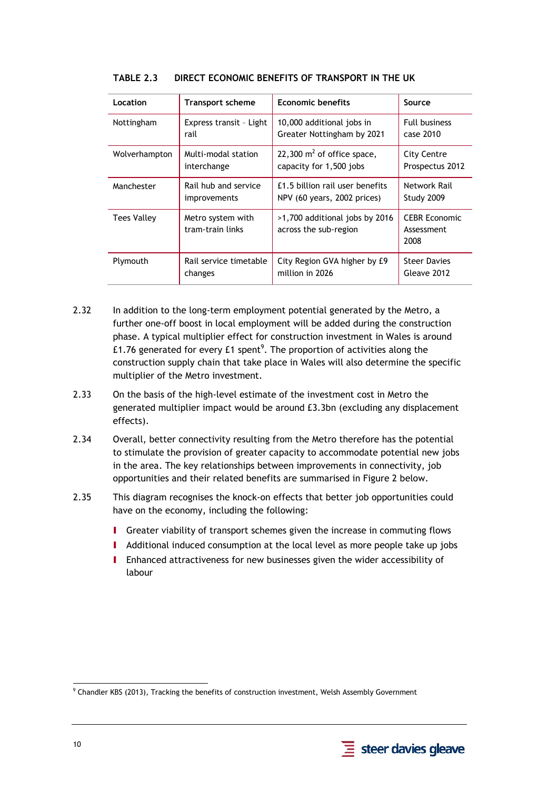| Location           | <b>Transport scheme</b>               | <b>Economic benefits</b>                                | Source                                     |
|--------------------|---------------------------------------|---------------------------------------------------------|--------------------------------------------|
| Nottingham         | Express transit - Light               | 10,000 additional jobs in                               | <b>Full business</b>                       |
|                    | rail                                  | Greater Nottingham by 2021                              | case 2010                                  |
| Wolverhampton      | Multi-modal station                   | 22,300 $m2$ of office space,                            | <b>City Centre</b>                         |
|                    | interchange                           | capacity for 1,500 jobs                                 | Prospectus 2012                            |
| Manchester         | Rail hub and service                  | £1.5 billion rail user benefits                         | Network Rail                               |
|                    | improvements                          | NPV (60 years, 2002 prices)                             | Study 2009                                 |
| <b>Tees Valley</b> | Metro system with<br>tram-train links | >1,700 additional jobs by 2016<br>across the sub-region | <b>CEBR Economic</b><br>Assessment<br>2008 |
| Plymouth           | Rail service timetable                | City Region GVA higher by £9                            | <b>Steer Davies</b>                        |
|                    | changes                               | million in 2026                                         | Gleave 2012                                |

#### **TABLE 2.3 DIRECT ECONOMIC BENEFITS OF TRANSPORT IN THE UK**

- 2.32 In addition to the long-term employment potential generated by the Metro, a further one-off boost in local employment will be added during the construction phase. A typical multiplier effect for construction investment in Wales is around £1.76 generated for every £1 spent $^9$ . The proportion of activities along the construction supply chain that take place in Wales will also determine the specific multiplier of the Metro investment.
- 2.33 On the basis of the high-level estimate of the investment cost in Metro the generated multiplier impact would be around £3.3bn (excluding any displacement effects).
- 2.34 Overall, better connectivity resulting from the Metro therefore has the potential to stimulate the provision of greater capacity to accommodate potential new jobs in the area. The key relationships between improvements in connectivity, job opportunities and their related benefits are summarised in Figure 2 below.
- 2.35 This diagram recognises the knock-on effects that better job opportunities could have on the economy, including the following:
	- I Greater viability of transport schemes given the increase in commuting flows
	- I Additional induced consumption at the local level as more people take up jobs
	- I Enhanced attractiveness for new businesses given the wider accessibility of labour



 $\overline{a}$ 

<sup>9</sup> Chandler KBS (2013), Tracking the benefits of construction investment, Welsh Assembly Government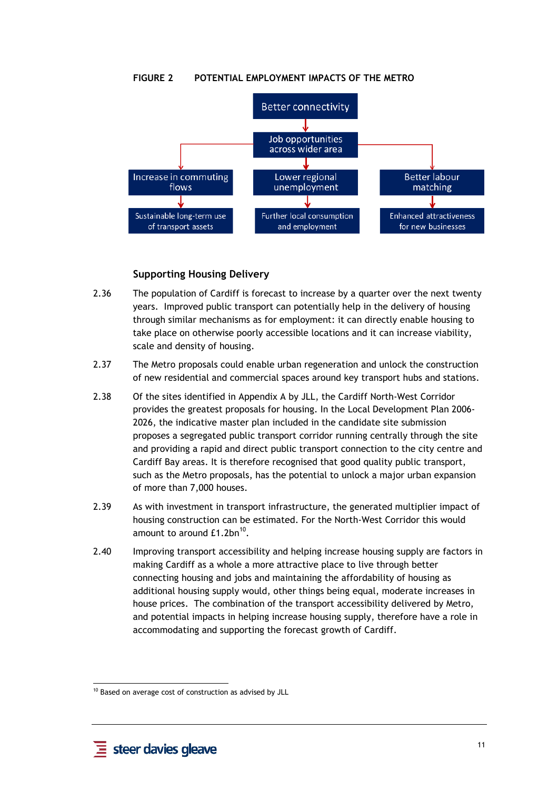#### **FIGURE 2 POTENTIAL EMPLOYMENT IMPACTS OF THE METRO**



#### **Supporting Housing Delivery**

- 2.36 The population of Cardiff is forecast to increase by a quarter over the next twenty years. Improved public transport can potentially help in the delivery of housing through similar mechanisms as for employment: it can directly enable housing to take place on otherwise poorly accessible locations and it can increase viability, scale and density of housing.
- 2.37 The Metro proposals could enable urban regeneration and unlock the construction of new residential and commercial spaces around key transport hubs and stations.
- 2.38 Of the sites identified in Appendix A by JLL, the Cardiff North-West Corridor provides the greatest proposals for housing. In the Local Development Plan 2006- 2026, the indicative master plan included in the candidate site submission proposes a segregated public transport corridor running centrally through the site and providing a rapid and direct public transport connection to the city centre and Cardiff Bay areas. It is therefore recognised that good quality public transport, such as the Metro proposals, has the potential to unlock a major urban expansion of more than 7,000 houses.
- 2.39 As with investment in transport infrastructure, the generated multiplier impact of housing construction can be estimated. For the North-West Corridor this would amount to around  $£1.2$ bn $^{10}$ .
- 2.40 Improving transport accessibility and helping increase housing supply are factors in making Cardiff as a whole a more attractive place to live through better connecting housing and jobs and maintaining the affordability of housing as additional housing supply would, other things being equal, moderate increases in house prices. The combination of the transport accessibility delivered by Metro, and potential impacts in helping increase housing supply, therefore have a role in accommodating and supporting the forecast growth of Cardiff.

<sup>-</sup> $10$  Based on average cost of construction as advised by JLL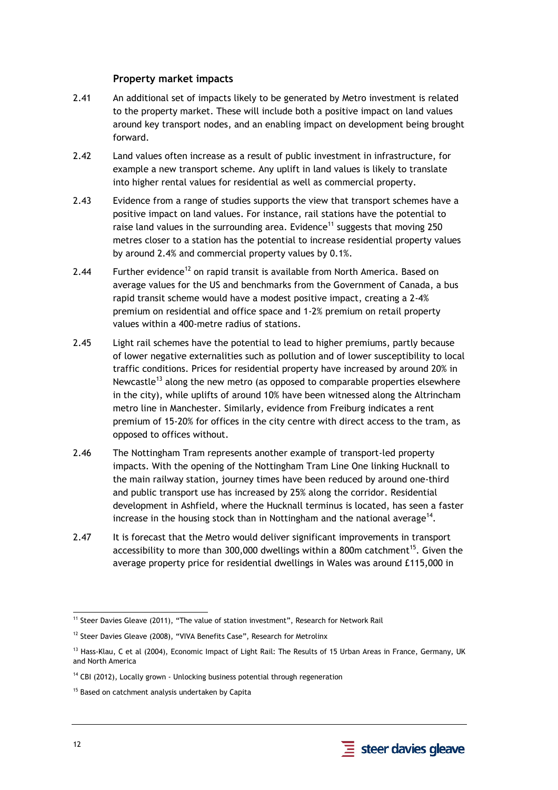#### **Property market impacts**

- 2.41 An additional set of impacts likely to be generated by Metro investment is related to the property market. These will include both a positive impact on land values around key transport nodes, and an enabling impact on development being brought forward.
- 2.42 Land values often increase as a result of public investment in infrastructure, for example a new transport scheme. Any uplift in land values is likely to translate into higher rental values for residential as well as commercial property.
- 2.43 Evidence from a range of studies supports the view that transport schemes have a positive impact on land values. For instance, rail stations have the potential to raise land values in the surrounding area. Evidence<sup>11</sup> suggests that moving 250 metres closer to a station has the potential to increase residential property values by around 2.4% and commercial property values by 0.1%.
- 2.44 Further evidence<sup>12</sup> on rapid transit is available from North America. Based on average values for the US and benchmarks from the Government of Canada, a bus rapid transit scheme would have a modest positive impact, creating a 2-4% premium on residential and office space and 1-2% premium on retail property values within a 400-metre radius of stations.
- 2.45 Light rail schemes have the potential to lead to higher premiums, partly because of lower negative externalities such as pollution and of lower susceptibility to local traffic conditions. Prices for residential property have increased by around 20% in Newcastle<sup>13</sup> along the new metro (as opposed to comparable properties elsewhere in the city), while uplifts of around 10% have been witnessed along the Altrincham metro line in Manchester. Similarly, evidence from Freiburg indicates a rent premium of 15-20% for offices in the city centre with direct access to the tram, as opposed to offices without.
- 2.46 The Nottingham Tram represents another example of transport-led property impacts. With the opening of the Nottingham Tram Line One linking Hucknall to the main railway station, journey times have been reduced by around one-third and public transport use has increased by 25% along the corridor. Residential development in Ashfield, where the Hucknall terminus is located, has seen a faster increase in the housing stock than in Nottingham and the national average<sup>14</sup>.
- 2.47 It is forecast that the Metro would deliver significant improvements in transport accessibility to more than 300,000 dwellings within a 800m catchment<sup>15</sup>. Given the average property price for residential dwellings in Wales was around £115,000 in

 $\overline{a}$ <sup>11</sup> Steer Davies Gleave (2011), "The value of station investment", Research for Network Rail

<sup>&</sup>lt;sup>12</sup> Steer Davies Gleave (2008), "VIVA Benefits Case", Research for Metrolinx

<sup>&</sup>lt;sup>13</sup> Hass-Klau, C et al (2004), Economic Impact of Light Rail: The Results of 15 Urban Areas in France, Germany, UK and North America

 $14$  CBI (2012), Locally grown - Unlocking business potential through regeneration

<sup>&</sup>lt;sup>15</sup> Based on catchment analysis undertaken by Capita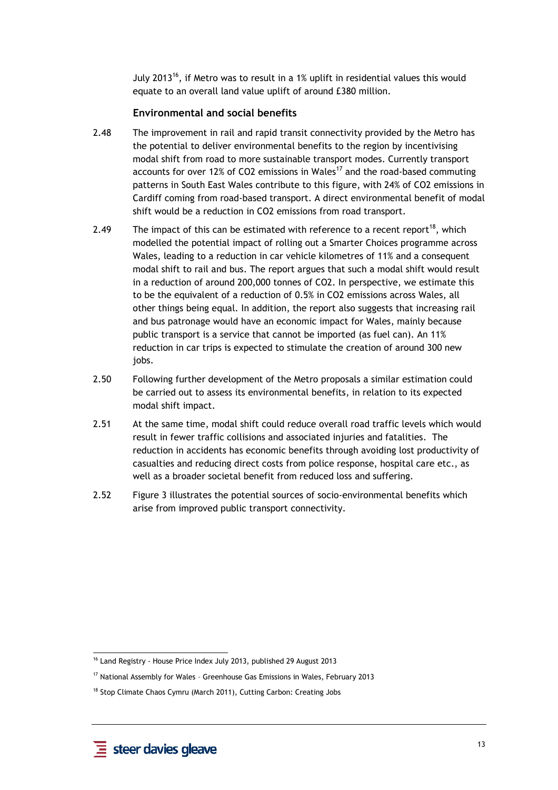July 2013<sup>16</sup>, if Metro was to result in a 1% uplift in residential values this would equate to an overall land value uplift of around £380 million.

#### **Environmental and social benefits**

- 2.48 The improvement in rail and rapid transit connectivity provided by the Metro has the potential to deliver environmental benefits to the region by incentivising modal shift from road to more sustainable transport modes. Currently transport accounts for over 12% of CO2 emissions in Wales<sup>17</sup> and the road-based commuting patterns in South East Wales contribute to this figure, with 24% of CO2 emissions in Cardiff coming from road-based transport. A direct environmental benefit of modal shift would be a reduction in CO2 emissions from road transport.
- 2.49 The impact of this can be estimated with reference to a recent report<sup>18</sup>, which modelled the potential impact of rolling out a Smarter Choices programme across Wales, leading to a reduction in car vehicle kilometres of 11% and a consequent modal shift to rail and bus. The report argues that such a modal shift would result in a reduction of around 200,000 tonnes of CO2. In perspective, we estimate this to be the equivalent of a reduction of 0.5% in CO2 emissions across Wales, all other things being equal. In addition, the report also suggests that increasing rail and bus patronage would have an economic impact for Wales, mainly because public transport is a service that cannot be imported (as fuel can). An 11% reduction in car trips is expected to stimulate the creation of around 300 new jobs.
- 2.50 Following further development of the Metro proposals a similar estimation could be carried out to assess its environmental benefits, in relation to its expected modal shift impact.
- 2.51 At the same time, modal shift could reduce overall road traffic levels which would result in fewer traffic collisions and associated injuries and fatalities. The reduction in accidents has economic benefits through avoiding lost productivity of casualties and reducing direct costs from police response, hospital care etc., as well as a broader societal benefit from reduced loss and suffering.
- 2.52 Figure 3 illustrates the potential sources of socio-environmental benefits which arise from improved public transport connectivity.

<sup>-</sup><sup>16</sup> Land Registry - House Price Index July 2013, published 29 August 2013

<sup>&</sup>lt;sup>17</sup> National Assembly for Wales - Greenhouse Gas Emissions in Wales, February 2013

<sup>&</sup>lt;sup>18</sup> Stop Climate Chaos Cymru (March 2011), Cutting Carbon: Creating Jobs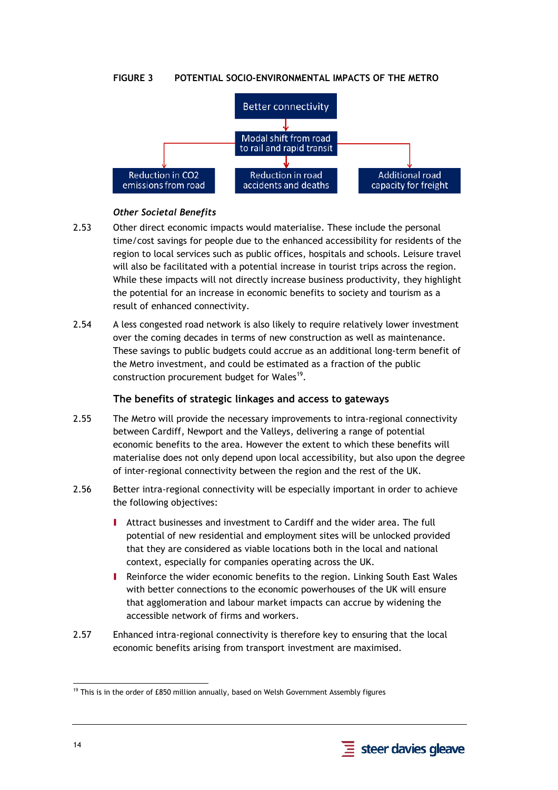#### **FIGURE 3 POTENTIAL SOCIO-ENVIRONMENTAL IMPACTS OF THE METRO**



#### *Other Societal Benefits*

- 2.53 Other direct economic impacts would materialise. These include the personal time/cost savings for people due to the enhanced accessibility for residents of the region to local services such as public offices, hospitals and schools. Leisure travel will also be facilitated with a potential increase in tourist trips across the region. While these impacts will not directly increase business productivity, they highlight the potential for an increase in economic benefits to society and tourism as a result of enhanced connectivity.
- 2.54 A less congested road network is also likely to require relatively lower investment over the coming decades in terms of new construction as well as maintenance. These savings to public budgets could accrue as an additional long-term benefit of the Metro investment, and could be estimated as a fraction of the public construction procurement budget for Wales<sup>19</sup>.

#### **The benefits of strategic linkages and access to gateways**

- 2.55 The Metro will provide the necessary improvements to intra-regional connectivity between Cardiff, Newport and the Valleys, delivering a range of potential economic benefits to the area. However the extent to which these benefits will materialise does not only depend upon local accessibility, but also upon the degree of inter-regional connectivity between the region and the rest of the UK.
- 2.56 Better intra-regional connectivity will be especially important in order to achieve the following objectives:
	- I Attract businesses and investment to Cardiff and the wider area. The full potential of new residential and employment sites will be unlocked provided that they are considered as viable locations both in the local and national context, especially for companies operating across the UK.
	- I Reinforce the wider economic benefits to the region. Linking South East Wales with better connections to the economic powerhouses of the UK will ensure that agglomeration and labour market impacts can accrue by widening the accessible network of firms and workers.
- 2.57 Enhanced intra-regional connectivity is therefore key to ensuring that the local economic benefits arising from transport investment are maximised.



<sup>-</sup> $19$  This is in the order of £850 million annually, based on Welsh Government Assembly figures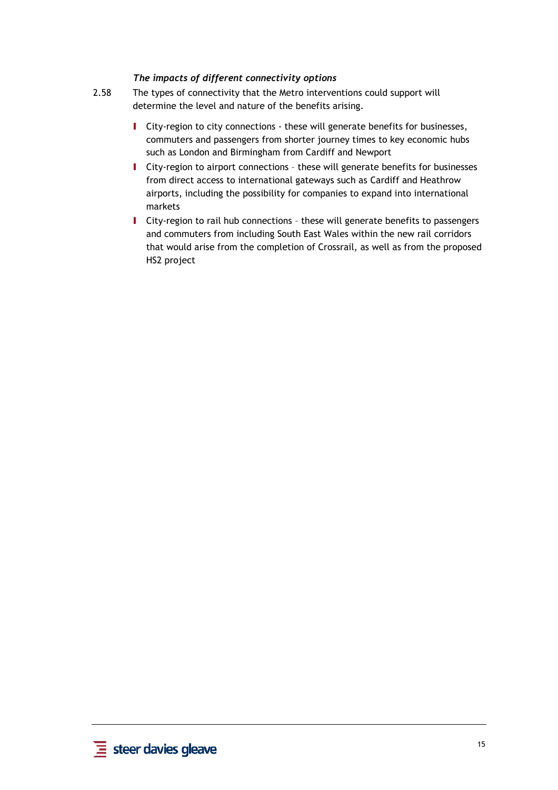#### *The impacts of different connectivity options*

- 2.58 The types of connectivity that the Metro interventions could support will determine the level and nature of the benefits arising.
	- I City-region to city connections these will generate benefits for businesses, commuters and passengers from shorter journey times to key economic hubs such as London and Birmingham from Cardiff and Newport
	- I City-region to airport connections these will generate benefits for businesses from direct access to international gateways such as Cardiff and Heathrow airports, including the possibility for companies to expand into international markets
	- I City-region to rail hub connections these will generate benefits to passengers and commuters from including South East Wales within the new rail corridors that would arise from the completion of Crossrail, as well as from the proposed HS2 project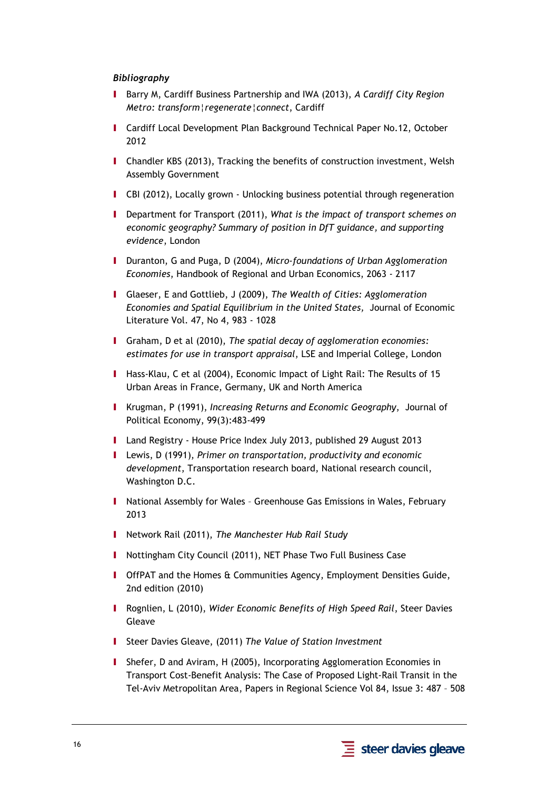#### *Bibliography*

- I Barry M, Cardiff Business Partnership and IWA (2013), *A Cardiff City Region Metro: transform¦regenerate¦connect*, Cardiff
- I Cardiff Local Development Plan Background Technical Paper No.12, October 2012
- I Chandler KBS (2013), Tracking the benefits of construction investment, Welsh Assembly Government
- I CBI (2012), Locally grown Unlocking business potential through regeneration
- I Department for Transport (2011), *What is the impact of transport schemes on economic geography? Summary of position in DfT guidance, and supporting evidence*, London
- I Duranton, G and Puga, D (2004), *Micro-foundations of Urban Agglomeration Economies*, Handbook of Regional and Urban Economics, 2063 - 2117
- I Glaeser, E and Gottlieb, J (2009), *The Wealth of Cities: Agglomeration Economies and Spatial Equilibrium in the United States,* Journal of Economic Literature Vol. 47, No 4, 983 - 1028
- I Graham, D et al (2010), *The spatial decay of agglomeration economies: estimates for use in transport appraisal*, LSE and Imperial College, London
- I Hass-Klau, C et al (2004), Economic Impact of Light Rail: The Results of 15 Urban Areas in France, Germany, UK and North America
- I Krugman, P (1991), *Increasing Returns and Economic Geography*, Journal of Political Economy, 99(3):483-499
- I Land Registry House Price Index July 2013, published 29 August 2013
- I Lewis, D (1991), *Primer on transportation, productivity and economic development*, Transportation research board, National research council, Washington D.C.
- I National Assembly for Wales Greenhouse Gas Emissions in Wales, February 2013
- I Network Rail (2011), *The Manchester Hub Rail Study*
- I Nottingham City Council (2011), NET Phase Two Full Business Case
- I OffPAT and the Homes & Communities Agency, Employment Densities Guide, 2nd edition (2010)
- I Rognlien, L (2010), *Wider Economic Benefits of High Speed Rail*, Steer Davies Gleave
- I Steer Davies Gleave, (2011) *The Value of Station Investment*
- I Shefer, D and Aviram, H (2005), Incorporating Agglomeration Economies in Transport Cost-Benefit Analysis: The Case of Proposed Light-Rail Transit in the Tel-Aviv Metropolitan Area, Papers in Regional Science Vol 84, Issue 3: 487 – 508

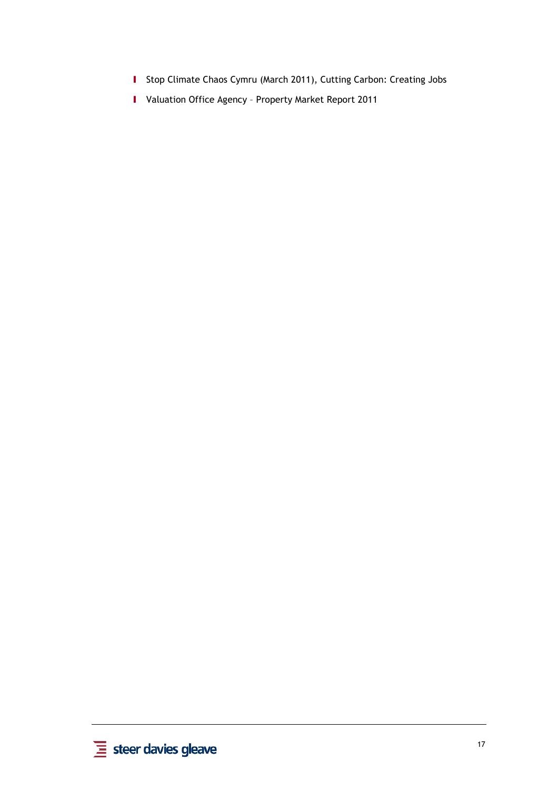- I Stop Climate Chaos Cymru (March 2011), Cutting Carbon: Creating Jobs
- I Valuation Office Agency Property Market Report 2011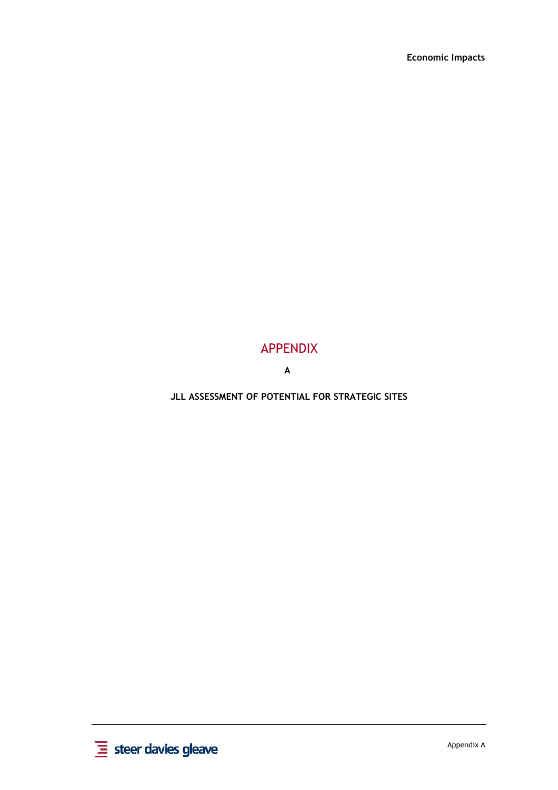#### APPENDIX

**A**

**JLL ASSESSMENT OF POTENTIAL FOR STRATEGIC SITES**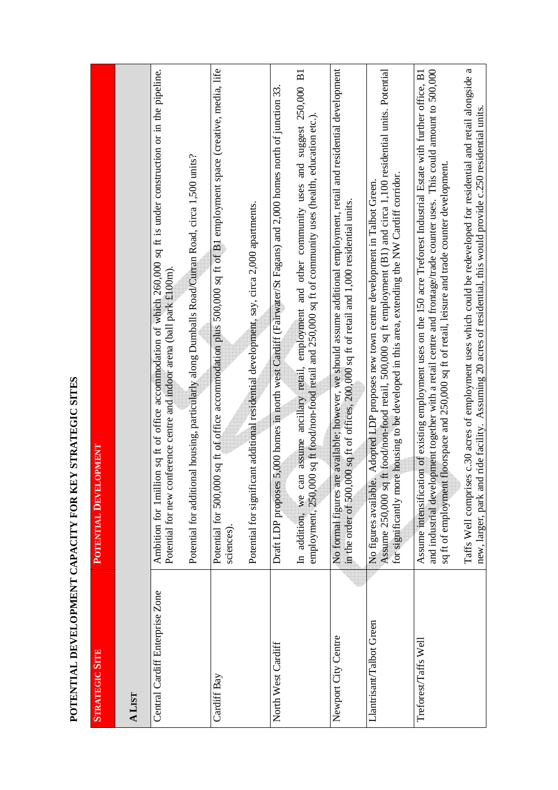| )<br>)<br>)                                                                                                    |
|----------------------------------------------------------------------------------------------------------------|
|                                                                                                                |
|                                                                                                                |
|                                                                                                                |
|                                                                                                                |
|                                                                                                                |
|                                                                                                                |
|                                                                                                                |
|                                                                                                                |
|                                                                                                                |
|                                                                                                                |
|                                                                                                                |
|                                                                                                                |
|                                                                                                                |
| ֧֧֧֧ׅ֧ׅ֧֧֧֧ׅ֧ׅ֧֧֧֧ׅ֧֧֧֧֧֛֪֧֛֪֧֛֪֛֛֪֛֛֪֛֛֚֚֚֚֚֚֚֚֚֚֚֚֚֚֚֚֚֚֚֚֚֚֡֝֓֝֓֝֬֝֜֓֝֬֝֓֜֜֓֝֬֝֬֜֓֝֬֝֬֝֬                    |
|                                                                                                                |
|                                                                                                                |
|                                                                                                                |
|                                                                                                                |
|                                                                                                                |
| ו<br>ו                                                                                                         |
|                                                                                                                |
|                                                                                                                |
| )<br>1                                                                                                         |
| ・・・・・) ・・                                                                                                      |
|                                                                                                                |
|                                                                                                                |
|                                                                                                                |
|                                                                                                                |
|                                                                                                                |
|                                                                                                                |
|                                                                                                                |
|                                                                                                                |
|                                                                                                                |
|                                                                                                                |
|                                                                                                                |
|                                                                                                                |
|                                                                                                                |
|                                                                                                                |
|                                                                                                                |
|                                                                                                                |
|                                                                                                                |
|                                                                                                                |
|                                                                                                                |
|                                                                                                                |
|                                                                                                                |
|                                                                                                                |
|                                                                                                                |
|                                                                                                                |
|                                                                                                                |
|                                                                                                                |
|                                                                                                                |
|                                                                                                                |
|                                                                                                                |
| ֧֧֧֧֧֧֧֧֧֧֧֧֧֧֧֧֧֛֪֛֧֧֧֧֧֧֛֧֛֛֛֛֛֛֛֛֛֛֛֛֧֧֧֧֧֡֓֓֓֓֓֝֬֓֝֬֓֝֓֝֬֓֝֬֝֬֓֝֬֝֬֝֬֝֬֝֬֝֬֓֬֝֬֝֬֓֝֬֬֝֬֝֬֝֬֬֝֬֝֬֟֬֟֬֝֬֝֬֝֬ |
|                                                                                                                |

| <b>STRATEGIC SITE</b>           | POTENTIAL DEVELOPMENT                                                                                                                                                                                                                                                                                                                                                                                                                                                                                                                                                                              |
|---------------------------------|----------------------------------------------------------------------------------------------------------------------------------------------------------------------------------------------------------------------------------------------------------------------------------------------------------------------------------------------------------------------------------------------------------------------------------------------------------------------------------------------------------------------------------------------------------------------------------------------------|
| <b>ALIST</b>                    |                                                                                                                                                                                                                                                                                                                                                                                                                                                                                                                                                                                                    |
| Central Cardiff Enterprise Zone | Ambition for 1million sq ft of office accommodation of which 260,000 sq ft is under construction or in the pipeline.<br>Potential for additional housing, particularly along Dumballs Road/Curran Road, circa 1,500 units?<br>Potential for new conference centre and indoor arena (ball park $\pounds100m$ ).                                                                                                                                                                                                                                                                                     |
| Cardiff Bay                     | Potential for 500,000 sq ft of office accommodation plus 500,000 sq ft of B1 employment space (creative, media, life<br>Potential for significant additional residential development, say, circa 2,000 apartments.<br>sciences)                                                                                                                                                                                                                                                                                                                                                                    |
| North West Cardiff              | In addition, we can assume ancillary retail, employment and other community uses and suggest 250,000 B1<br>5,000 homes in north west Cardiff (Fairwater/St Fagans) and 2,000 homes north of junction 33<br>employment, 250,000 sq ft food/non-food retail and 250,000 sq ft of community uses (health, education etc.).<br>Draft LDP proposes                                                                                                                                                                                                                                                      |
| Newport City Centre             | No formal figures are available; however, we should assume additional employment, retail and residential development<br>in the order of 500,000 sq ft of offices, 200,000 sq ft of retail and 1,000 residential units.                                                                                                                                                                                                                                                                                                                                                                             |
| Llantrisant/Talbot Green        | Assume 250,000 sq ft food/non-food retail, 500,000 sq ft employment (B1) and circa 1,100 residential units. Potential<br>re housing to be developed in this area, extending the NW Cardiff corridor.<br>Adopted LDP proposes new town centre development in Talbot Green.<br>No figures available.<br>for significantly mo                                                                                                                                                                                                                                                                         |
| Treforest/Taffs Well            | Taffs Well comprises c.30 acres of employment uses which could be redeveloped for residential and retail alongside a<br>and industrial development together with a retail centre and frontage/trade counter uses. This could amount to 500,000<br>Assume intensification of existing employment uses on the 150 acre Treforest Industrial Estate with further office, B1<br>new, larger, park and ride facility. Assuming 20 acres of residential, this would provide c.250 residential units<br>sq ft of employment floorspace and 250,000 sq ft of retail, leisure and trade counter development |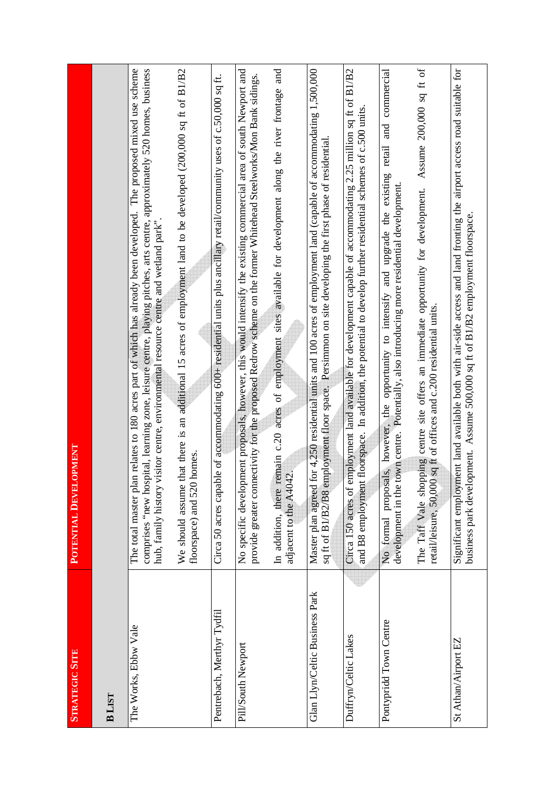| <b>STRATEGIC SITE</b>          | <b>POTENTIAL DEVELOPMENT</b>                                                                                                                                                                                                                                                                                                                                                                                                                                                                   |
|--------------------------------|------------------------------------------------------------------------------------------------------------------------------------------------------------------------------------------------------------------------------------------------------------------------------------------------------------------------------------------------------------------------------------------------------------------------------------------------------------------------------------------------|
| <b>BLIST</b>                   |                                                                                                                                                                                                                                                                                                                                                                                                                                                                                                |
| The Works, Ebbw Vale           | The total master plan relates to 180 acres part of which has already been developed. The proposed mixed use scheme<br>that there is an additional 15 acres of employment land to be developed (2000,000 sq ft of B1/B2<br>comprises "new hospital, learning zone, leisure centre, playing pitches, arts centre, approximately 520 homes, business<br>visitor centre, environmental resource centre and wetland park".<br>floorspace) and 520 homes.<br>hub, family history<br>We should assume |
| Pentrebach, Merthyr Tydfil     | Circa 50 acres capable of accommodating 600+ residential units plus ancillary retail/community uses of c.50,000 sq ft.                                                                                                                                                                                                                                                                                                                                                                         |
| Pill/South Newport             | No specific development proposals, however, this would intensify the existing commercial area of south Newport and<br>remain c.20 acres of employment sites available for development along the river frontage and<br>provide greater connectivity for the proposed Redrow scheme on the former Whitehead Steelworks/Mon Bank sidings.<br>adjacent to the A4042<br>In addition, there                                                                                                          |
| Glan Llyn/Celtic Business Park | for 4,250 residential units and 100 acres of employment land (capable of accommodating 1,500,000<br>sq ft of B1/B2/B8 employment floor space. Persimmon on site developing the first phase of residential.<br>Master plan agreed                                                                                                                                                                                                                                                               |
| Duffryn/Celtic Lakes           | employment land available for development capable of accommodating 2.25 million sq ft of B1/B2<br>t floorspace. In addition, the potential to develop further residential schemes of c.500 units.<br>and B8 employmen<br>Circa 150 acres of                                                                                                                                                                                                                                                    |
| Pontypridd Town Centre         | Assume 200,000 sq ft of<br>No formal proposals, however, the opportunity to intensify and upgrade the existing retail and commercial<br>town centre. Potentially, also introducing more residential development.<br>The Taff Vale shopping centre site offers an immediate opportunity for development.<br>retail/leisure, 50,000 sq ft of offices and c.200 residential units.<br>development in the                                                                                          |
| St Athan/Airport EZ            | Significant employment land available both with air-side access and land fronting the airport access road suitable for<br>business park development. Assume 500,000 sq ft of B1/B2 employment floorspace.                                                                                                                                                                                                                                                                                      |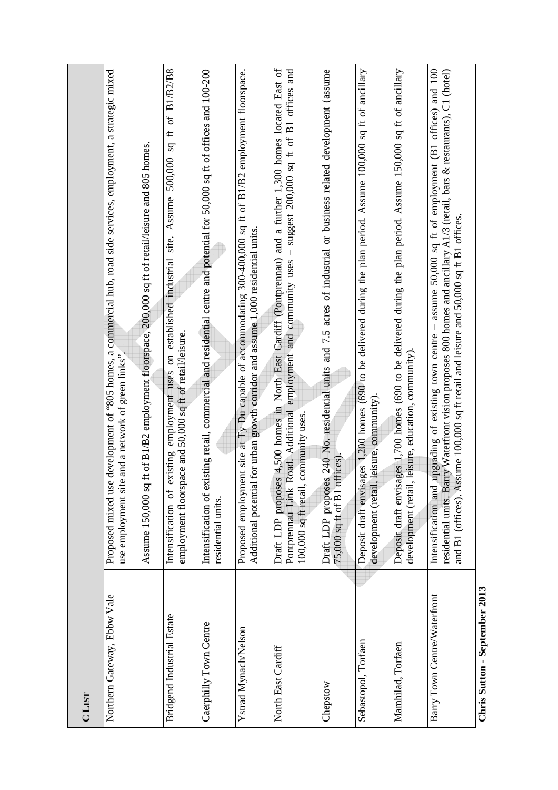| <b>CLIST</b>                                      |                                                                                                                                                                                                                                                                                                                                              |
|---------------------------------------------------|----------------------------------------------------------------------------------------------------------------------------------------------------------------------------------------------------------------------------------------------------------------------------------------------------------------------------------------------|
| Northern Gateway, Ebbw Vale                       | Proposed mixed use development of "805 homes, a commercial hub, road side services, employment, a strategic mixed<br>Assume 150,000 sq ft of B1/B2 employment floorspace, 200,000 sq ft of retail/leisure and 805 homes.<br>use employment site and a network of green links"                                                                |
| Bridgend Industrial Estate                        | employment uses on established industrial site. Assume 500,000 sq ft of B1/B2/B8<br>employment floorspace and 50,000 sq ft of retail/leisure.<br>existing<br>Intensification of                                                                                                                                                              |
| Caerphilly Town Centre                            | Intensification of existing retail, commercial and residential centre and potential for 50,000 sq ft of offices and 100-200<br>residential units.                                                                                                                                                                                            |
| Ystrad Mynach/Nelson                              | Proposed employment site at Ty Du capable of accommodating 300-400,000 sq ft of B1/B2 employment floorspace.<br>Additional potential for urban growth corridor and assume 1,000 residential units.                                                                                                                                           |
| North East Cardiff                                | Draft LDP proposes 4,500 homes in North East Cardiff (Pontprennau) and a further 1,300 homes located East of<br>- suggest 200,000 sq ft of B1 offices and<br>Road. Additional employment and community uses<br>100,000 sq ft retail, community uses.<br>Pontprennau Link                                                                     |
| Chepstow                                          | Draft LDP proposes 240 No. residential units and 7.5 acres of industrial or business related development (assume<br>offices)<br>75,000 sq ft of B1                                                                                                                                                                                           |
| Sebastopol, Torfaen                               | Deposit draft envisages 1,200 homes (690 to be delivered during the plan period. Assume 100,000 sq ft of ancillary<br>development (retail, leisure, community).                                                                                                                                                                              |
| Mamhilad, Torfaen                                 | Deposit draft envisages 1,700 homes (690 to be delivered during the plan period. Assume 150,000 sq ft of ancillary<br>l, leisure, education, community).<br>development (retai                                                                                                                                                               |
| Barry Town Centre/Waterfront                      | upgrading of existing town centre - assume 50,000 sq ft of employment (B1 offices) and 100<br>arry Waterfront vision proposes 800 homes and ancillary A1/3 (retail, bars & restaurants), C1 (hotel)<br>and B1 (offices). Assume 100,000 sq ft retail and leisure and 50,000 sq ft B1 offices.<br>Intensification and<br>residential units. B |
| 2012<br>$\mathbf{C}$ and comb com<br>Chais Cutton |                                                                                                                                                                                                                                                                                                                                              |

**Chris Sutton - September 2013** Chris Sutton - September 2013